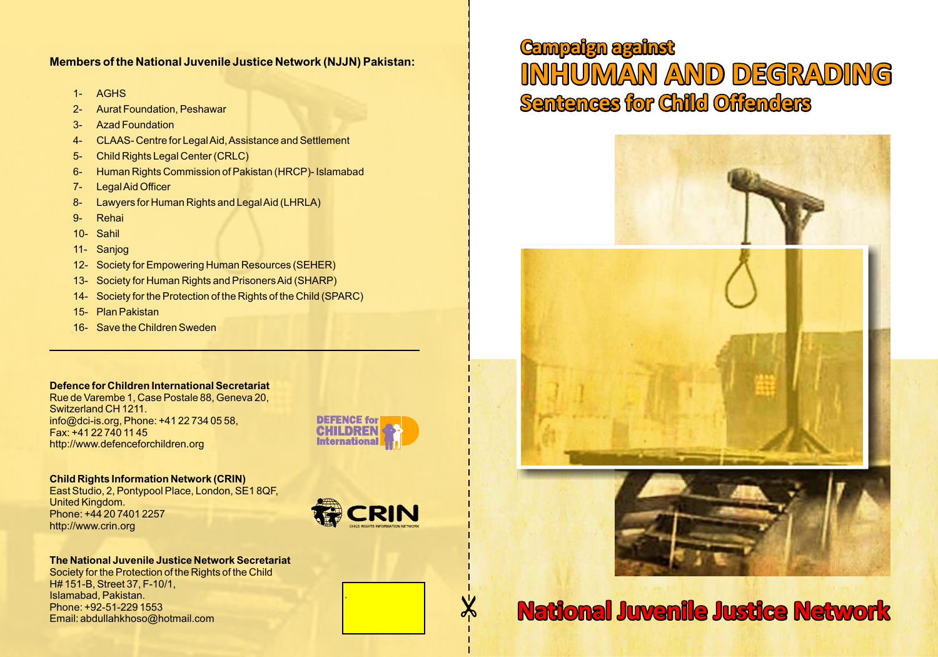### **Members of the National Juvenile Justice Network (NJJN) Pakistan:**

- 1- AGHS
- 2- Aurat Foundation, Peshawar
- 3- Azad Foundation
- 4- CLAAS- Centre for Legal Aid, Assistance and Settlement
- 5- Child Rights Legal Center (CRLC)
- 6- Human Rights Commission of Pakistan (HRCP)- Islamabad
- 7- Legal Aid Officer
- 8- Lawyers for Human Rights and Legal Aid (LHRLA)
- 9- Rehai
- 10- Sahil
- 11- Sanjog
- 12- Society for Empowering Human Resources (SEHER)
- 13- Society for Human Rights and Prisoners Aid (SHARP)
- 14- Society for the Protection of the Rights of the Child (SPARC)
- 15- Plan Pakistan
- 16- Save the Children Sweden

### **Defence for Children International Secretariat**

Rue de Varembe 1, Case Postale 88, Geneva 20, Switzerland CH 1211. info@dci-is.org, Phone: +41 22 734 05 58, Fax: +41 22 740 11 45 http://www.defenceforchildren.org



## **Child Rights Information Network (CRIN)**

East Studio, 2, Pontypool Place, London, SE1 8QF, United Kingdom. Phone: +44 20 7401 2257 http://www.crin.org



.

**The National Juvenile Justice Network Secretariat** Society for the Protection of the Rights of the Child H# 151-B, Street 37, F-10/1, Islamabad, Pakistan. Phone: +92-51-229 1553 Email: abdullahkhoso@hotmail.com

# **Campaign against INHUMAN AND DEGRADING Sentences for Child Offenders**



# $\frac{1}{2}$  **National Juvenile Justice Network**